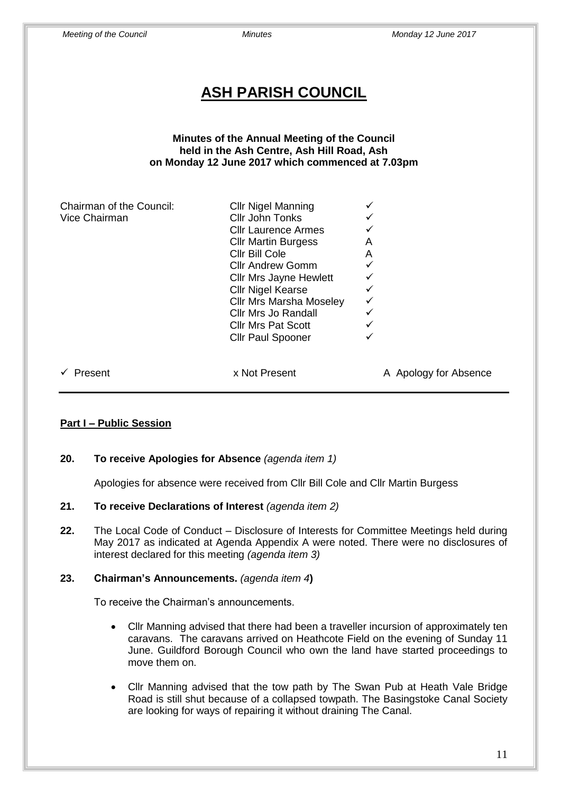| <b>ASH PARISH COUNCIL</b>                                                                                                                      |                                                                                                                                                                                                                                                                                                                                             |                                                                                       |  |  |  |  |  |
|------------------------------------------------------------------------------------------------------------------------------------------------|---------------------------------------------------------------------------------------------------------------------------------------------------------------------------------------------------------------------------------------------------------------------------------------------------------------------------------------------|---------------------------------------------------------------------------------------|--|--|--|--|--|
| Minutes of the Annual Meeting of the Council<br>held in the Ash Centre, Ash Hill Road, Ash<br>on Monday 12 June 2017 which commenced at 7.03pm |                                                                                                                                                                                                                                                                                                                                             |                                                                                       |  |  |  |  |  |
| Chairman of the Council:<br>Vice Chairman                                                                                                      | <b>Cllr Nigel Manning</b><br>Cllr John Tonks<br><b>Cllr Laurence Armes</b><br><b>Cllr Martin Burgess</b><br>Cllr Bill Cole<br><b>Cllr Andrew Gomm</b><br><b>Cllr Mrs Jayne Hewlett</b><br><b>Cllr Nigel Kearse</b><br><b>Cllr Mrs Marsha Moseley</b><br><b>Cllr Mrs Jo Randall</b><br><b>Cllr Mrs Pat Scott</b><br><b>Cllr Paul Spooner</b> | ✓<br>A<br>A<br>$\checkmark$<br>$\checkmark$<br>$\checkmark$<br>$\checkmark$<br>✓<br>✓ |  |  |  |  |  |
| Present<br>✓                                                                                                                                   | x Not Present                                                                                                                                                                                                                                                                                                                               | A Apology for Absence                                                                 |  |  |  |  |  |

## **Part I – Public Session**

## **20. To receive Apologies for Absence** *(agenda item 1)*

Apologies for absence were received from Cllr Bill Cole and Cllr Martin Burgess

## **21. To receive Declarations of Interest** *(agenda item 2)*

**22.** The Local Code of Conduct – Disclosure of Interests for Committee Meetings held during May 2017 as indicated at Agenda Appendix A were noted. There were no disclosures of interest declared for this meeting *(agenda item 3)*

## **23. Chairman's Announcements.** *(agenda item 4***)**

To receive the Chairman's announcements.

- Cllr Manning advised that there had been a traveller incursion of approximately ten caravans. The caravans arrived on Heathcote Field on the evening of Sunday 11 June. Guildford Borough Council who own the land have started proceedings to move them on.
- Cllr Manning advised that the tow path by The Swan Pub at Heath Vale Bridge Road is still shut because of a collapsed towpath. The Basingstoke Canal Society are looking for ways of repairing it without draining The Canal.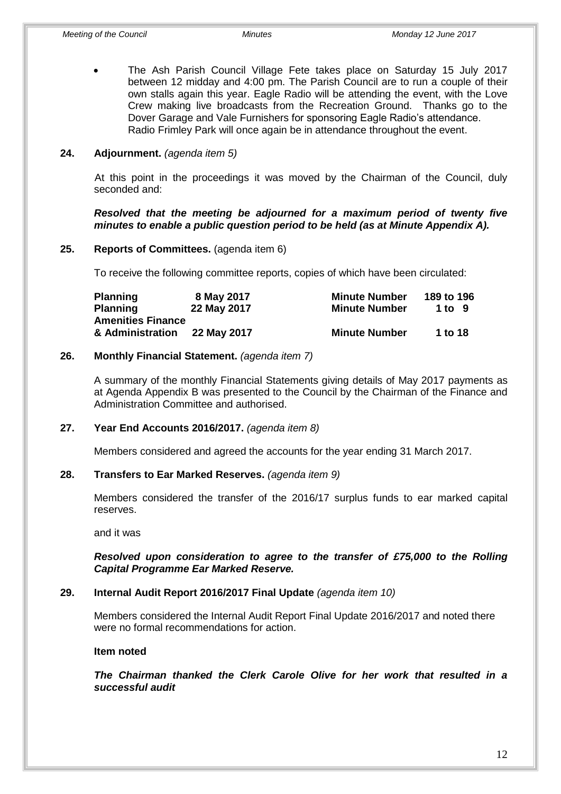The Ash Parish Council Village Fete takes place on Saturday 15 July 2017 between 12 midday and 4:00 pm. The Parish Council are to run a couple of their own stalls again this year. Eagle Radio will be attending the event, with the Love Crew making live broadcasts from the Recreation Ground. Thanks go to the Dover Garage and Vale Furnishers for sponsoring Eagle Radio's attendance. Radio Frimley Park will once again be in attendance throughout the event.

#### **24. Adjournment.** *(agenda item 5)*

At this point in the proceedings it was moved by the Chairman of the Council, duly seconded and:

*Resolved that the meeting be adjourned for a maximum period of twenty five minutes to enable a public question period to be held (as at Minute Appendix A).*

#### **25. Reports of Committees.** (agenda item 6)

To receive the following committee reports, copies of which have been circulated:

| <b>Planning</b>          | 8 May 2017  | <b>Minute Number</b> | 189 to 196 |
|--------------------------|-------------|----------------------|------------|
| <b>Planning</b>          | 22 May 2017 | <b>Minute Number</b> | 1 to 9     |
| <b>Amenities Finance</b> |             |                      |            |
| & Administration         | 22 May 2017 | <b>Minute Number</b> | 1 to 18    |

#### **26. Monthly Financial Statement.** *(agenda item 7)*

A summary of the monthly Financial Statements giving details of May 2017 payments as at Agenda Appendix B was presented to the Council by the Chairman of the Finance and Administration Committee and authorised.

#### **27. Year End Accounts 2016/2017.** *(agenda item 8)*

Members considered and agreed the accounts for the year ending 31 March 2017.

#### **28. Transfers to Ear Marked Reserves.** *(agenda item 9)*

Members considered the transfer of the 2016/17 surplus funds to ear marked capital reserves.

and it was

#### *Resolved upon consideration to agree to the transfer of £75,000 to the Rolling Capital Programme Ear Marked Reserve.*

#### **29. Internal Audit Report 2016/2017 Final Update** *(agenda item 10)*

Members considered the Internal Audit Report Final Update 2016/2017 and noted there were no formal recommendations for action.

#### **Item noted**

*The Chairman thanked the Clerk Carole Olive for her work that resulted in a successful audit*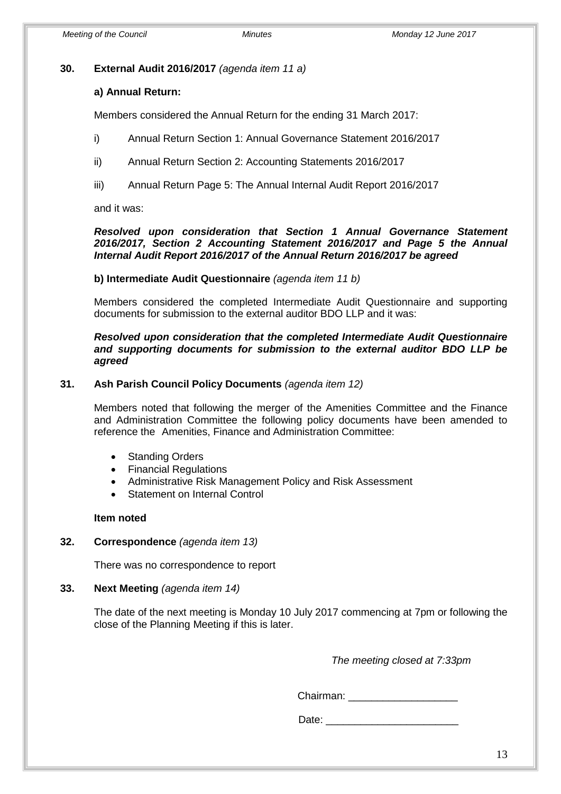#### **30. External Audit 2016/2017** *(agenda item 11 a)*

#### **a) Annual Return:**

Members considered the Annual Return for the ending 31 March 2017:

- i) Annual Return Section 1: Annual Governance Statement 2016/2017
- ii) Annual Return Section 2: Accounting Statements 2016/2017
- iii) Annual Return Page 5: The Annual Internal Audit Report 2016/2017

and it was:

#### *Resolved upon consideration that Section 1 Annual Governance Statement 2016/2017, Section 2 Accounting Statement 2016/2017 and Page 5 the Annual Internal Audit Report 2016/2017 of the Annual Return 2016/2017 be agreed*

#### **b) Intermediate Audit Questionnaire** *(agenda item 11 b)*

Members considered the completed Intermediate Audit Questionnaire and supporting documents for submission to the external auditor BDO LLP and it was:

#### *Resolved upon consideration that the completed Intermediate Audit Questionnaire and supporting documents for submission to the external auditor BDO LLP be agreed*

### **31. Ash Parish Council Policy Documents** *(agenda item 12)*

Members noted that following the merger of the Amenities Committee and the Finance and Administration Committee the following policy documents have been amended to reference the Amenities, Finance and Administration Committee:

- Standing Orders
- Financial Regulations
- Administrative Risk Management Policy and Risk Assessment
- Statement on Internal Control

#### **Item noted**

#### **32. Correspondence** *(agenda item 13)*

There was no correspondence to report

#### **33. Next Meeting** *(agenda item 14)*

The date of the next meeting is Monday 10 July 2017 commencing at 7pm or following the close of the Planning Meeting if this is later.

*The meeting closed at 7:33pm*

Chairman:

Date:  $\Box$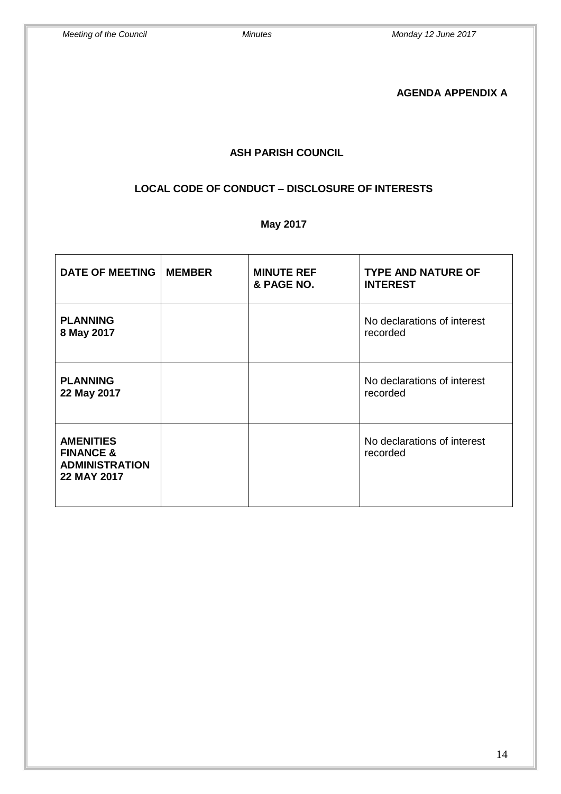## **AGENDA APPENDIX A**

## **ASH PARISH COUNCIL**

## **LOCAL CODE OF CONDUCT – DISCLOSURE OF INTERESTS**

# **May 2017**

| <b>DATE OF MEETING</b>                                                           | <b>MEMBER</b> | <b>MINUTE REF</b><br>& PAGE NO. | <b>TYPE AND NATURE OF</b><br><b>INTEREST</b> |
|----------------------------------------------------------------------------------|---------------|---------------------------------|----------------------------------------------|
| <b>PLANNING</b><br>8 May 2017                                                    |               |                                 | No declarations of interest<br>recorded      |
| <b>PLANNING</b><br>22 May 2017                                                   |               |                                 | No declarations of interest<br>recorded      |
| <b>AMENITIES</b><br><b>FINANCE &amp;</b><br><b>ADMINISTRATION</b><br>22 MAY 2017 |               |                                 | No declarations of interest<br>recorded      |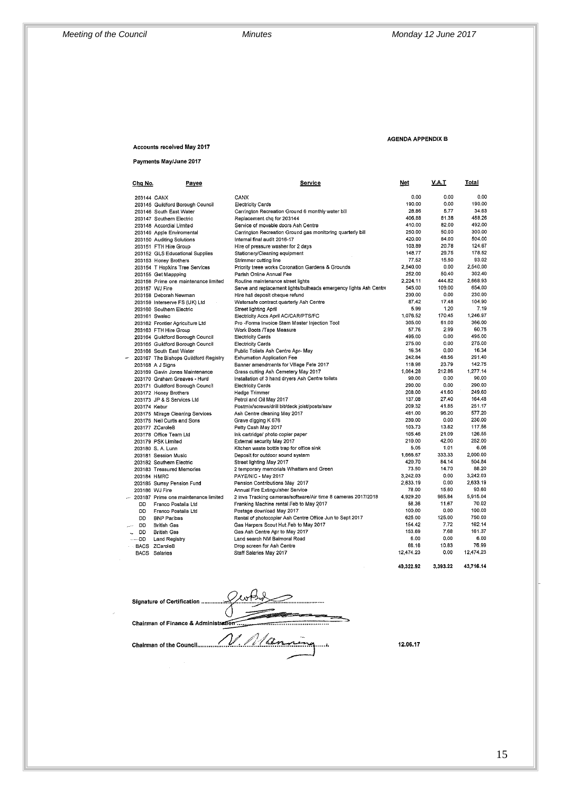#### AGENDA APPENDIX B

Accounts received May 2017

Payments May/June 2017

| Chg No.       | <b>Payee</b>                          | Service                                                           | <u>Net</u> | V.A.T    | Total     |
|---------------|---------------------------------------|-------------------------------------------------------------------|------------|----------|-----------|
| 203144 CANX   |                                       | CANX                                                              | 0,00       | 0.00     | 0.00      |
|               | 203145 Guildford Borough Council      | <b>Electricity Cards</b>                                          | 190.00     | 0.00     | 190.00    |
|               | 203146 South East Water               | Carrington Recreation Ground 6 monthly water bill                 | 28.86      | 5.77     | 34.63     |
|               | 203147 Southern Electric              | Replacement chq for 203144                                        | 406.88     | 81.38    | 488.26    |
|               | 203148 Accordial Limited              | Service of movable doors Ash Centre                               | 410.00     | 82.00    | 492.00    |
|               | 203149 Apple Enviromental             | Carrington Recreation Ground gas monitoring quarterly bill        | 250.00     | 50.00    | 300.00    |
|               | 203150 Auditing Solutions             | Internal final audit 2016-17                                      | 420.00     | 84.00    | 504.00    |
|               | 203151 FTH Hire Group                 | Hire of pressure washer for 2 days                                | 103,89     | 20.78    | 124.67    |
|               | 203152 GLS Educational Supplies       | Stationery/Cleaning equipment                                     | 148.77     | 29.75    | 178.52    |
|               | 203153 Honey Brothers                 | Strimmer cutting line                                             | 77.52      | 15.50    | 93.02     |
|               | 203154 T Hopkins Tree Services        | Priority treee works Coronation Gardens & Grounds                 | 2.540.00   | 0.00     | 2,540,00  |
|               | 203155 Get Mappping                   | Parish Online Annual Fee                                          | 252.00     | 50.40    | 302.40    |
|               | 203156 Prime one maintenance limited  | Routine maintenance street lights                                 | 2.224.11   | 444.82   | 2.668.93  |
|               | 203157 WJ Fire                        | Serve and replacement lights/bulheads emergency lights Ash Centre | 545.00     | 109.00   | 654.00    |
|               | 203158 Deborah Newman                 | Hire hall deposit cheque refund                                   | 230.00     | 0.00     | 230.00    |
|               | 203159 Interserve FS (UK) Ltd         | Watersafe contract quarterly Ash Centre                           | 87.42      | 17.48    | 104.90    |
|               | 203160 Southern Electric              | Street lighting April                                             | 5.99       | 1.20     | 7.19      |
| 203161 Swalec |                                       | Electricity Accs April AC/CAR/PTS/FC                              | 1.076.52   | 170.45   | 1.246.97  |
|               | 203162 Frontier Agriculture Ltd       | Pro -Forma Invoice Stem Master Injection Too!                     | 305.00     | 61.00    | 366.00    |
|               | 203163 FTH Hire Group                 | Work Boots /Tape Measure                                          | 57.76      | 2.99     | 60.75     |
|               | 203164 Guildford Borough Council      | <b>Electricity Cards</b>                                          | 495.00     | 0.00     | 495.00    |
|               | 203165 Guildford Borough Council      | <b>Electricity Cards</b>                                          | 275.00     | 0.00     | 275.00    |
|               | 203166 South East Water               | Public Toliets Ash Centre Apr- May                                | 16.34      | 0.00     | 16.34     |
|               | 203167 The Bishops Guildford Registry | <b>Exhumation Application Fee</b>                                 | 242.84     | 48.56    | 291.40    |
|               | 203168 A J Signs                      | Banner amendments for Village Fete 2017                           | 118.96     | 23.79    | 142.75    |
|               | 203169 Gavin Jones Maintenance        | Grass cutting Ash Cemetery May 2017                               | 1,064.28   | 212.86   | 1.277.14  |
|               | 203170 Graham Greaves - Hurd          | Installation of 3 hand dryers Ash Centre toilets                  | 90.00      | 0.00     | 90.00     |
|               | 203171 Guildford Borough Council      | <b>Electricity Cards</b>                                          | 290.00     | 0.00     | 290.00    |
|               | 203172 Honey Brothers                 | Hedge Trimmer                                                     | 208.00     | 41.60    | 249.60    |
|               | 203173 JP & S Services Ltd            | Petrol and Oil May 2017                                           | 137.08     | 27.40    | 164.48    |
| 203174 Kebur  |                                       | Postmix/screws/drill bit/deck joist/posts/saw                     | 209.32     | 41.85    | 251.17    |
|               | 203175 Mirage Cleaning Services       | Ash Centre cleaning May 2017                                      | 481.00     | 96.20    | 577.20    |
|               | 203176 Neil Curtis and Sons           | Grave digging K 676                                               | 230.00     | 0.00     | 230.00    |
|               | 203177 ZCaroleB                       | Petty Cash May 2017                                               | 103.73     | 13.82    | 117.56    |
|               | 203178 Office Team Ltd                | Ink cartridge/ photo copier paper                                 | 105.46     | 21.09    | 126.55    |
|               | 203179 PSK Limited                    | External security May 2017                                        | 210.00     | 42.00    | 252.00    |
|               | 203180 S. A. Lunn                     | Kitchen waste bottle trap for office sink                         | 5.05       | 1.01     | 6.06      |
|               | 203181 Session Music                  | Deposit for outdoor sound system                                  | 1,666.67   | 333.33   | 2,000.00  |
|               | 203182 Southern Electric              | Street lighting May 2017                                          | 420,70     | 84.14    | 504.84    |
|               | 203183 Treasured Memories             | 2 temporary memorials Whattam and Green                           | 73.50      | 14.70    | 88.20     |
| 203184 HMRC   |                                       | PAYE/NIC - May 2017                                               | 3,242.03   | 0.00     | 3,242.03  |
|               | 203185 Surrey Pension Fund            | Pension Contributions May 2017                                    | 2,633.19   | 0.00     | 2,633.19  |
|               | 203186 WJ Fire                        | Annual Fire Extinguisher Service                                  | 78.00      | 15.60    | 93.60     |
|               | 203187 Prime one maintenance limited  | 2 invs Tracking cameras/software/Air time 8 cameras 2017/2018     | 4,929.20   | 985.84   | 5,915.04  |
| <b>DD</b>     | Franco Postalia Ltd                   | Franking Machine rental Feb to May 2017                           | 58.36      | 11.67    | 70.02     |
| DD            | Franco Postalia Ltd                   | Postage download May 2017                                         | 100.00     | 0.00     | 100.00    |
| DD            | <b>BNP Paribas</b>                    | Rental of photocopier Ash Centre Office Jun to Sept 2017          | 625.00     | 125.00   | 750.00    |
| <b>DD</b>     | <b>British Gas</b>                    | Gas Harpers Scout Hut Feb to May 2017                             | 154.42     | 7.72     | 162.14    |
| <b>DD</b>     | <b>British Gas</b>                    | Gas Ash Centre Apr to May 2017                                    | 153.69     | 7.68     | 161,37    |
| DD            | Land Registry                         | Land search NM Balmoral Road                                      | 6.00       | 0,00     | 6.00      |
|               | <b>BACS ZCaroleB</b>                  | Drop screen for Ash Centre                                        | 66.16      | 10.83    | 76.99     |
|               | <b>BACS</b> Salaries                  | Staff Salaries May 2017                                           | 12,474.23  | 0.00     | 12.474.23 |
|               |                                       |                                                                   | 40.322.92  | 3.393.22 | 43.716.14 |

Signature of Certification ......  $\zeta$ Chairman of Finance & Administration. 

12.06.17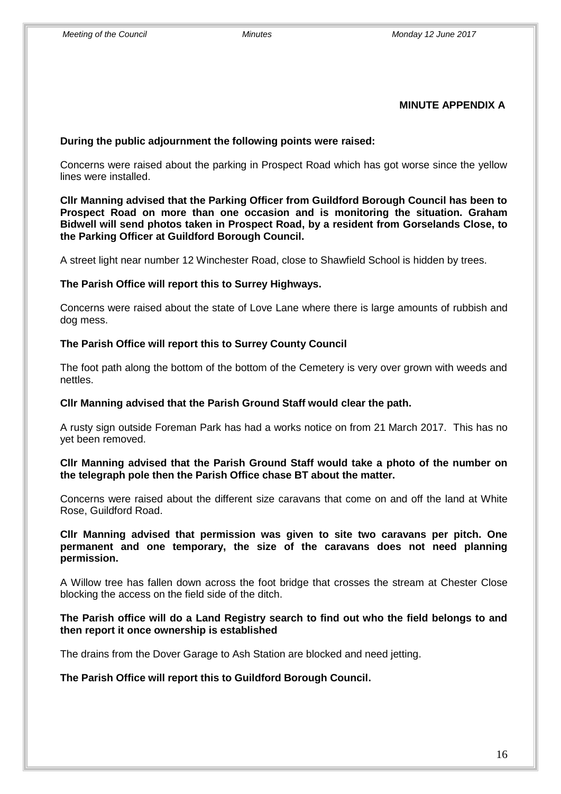#### **MINUTE APPENDIX A**

#### **During the public adjournment the following points were raised:**

Concerns were raised about the parking in Prospect Road which has got worse since the yellow lines were installed.

**Cllr Manning advised that the Parking Officer from Guildford Borough Council has been to Prospect Road on more than one occasion and is monitoring the situation. Graham Bidwell will send photos taken in Prospect Road, by a resident from Gorselands Close, to the Parking Officer at Guildford Borough Council.**

A street light near number 12 Winchester Road, close to Shawfield School is hidden by trees.

#### **The Parish Office will report this to Surrey Highways.**

Concerns were raised about the state of Love Lane where there is large amounts of rubbish and dog mess.

#### **The Parish Office will report this to Surrey County Council**

The foot path along the bottom of the bottom of the Cemetery is very over grown with weeds and nettles.

#### **Cllr Manning advised that the Parish Ground Staff would clear the path.**

A rusty sign outside Foreman Park has had a works notice on from 21 March 2017. This has no yet been removed.

#### **Cllr Manning advised that the Parish Ground Staff would take a photo of the number on the telegraph pole then the Parish Office chase BT about the matter.**

Concerns were raised about the different size caravans that come on and off the land at White Rose, Guildford Road.

**Cllr Manning advised that permission was given to site two caravans per pitch. One permanent and one temporary, the size of the caravans does not need planning permission.** 

A Willow tree has fallen down across the foot bridge that crosses the stream at Chester Close blocking the access on the field side of the ditch.

#### **The Parish office will do a Land Registry search to find out who the field belongs to and then report it once ownership is established**

The drains from the Dover Garage to Ash Station are blocked and need jetting.

**The Parish Office will report this to Guildford Borough Council.**